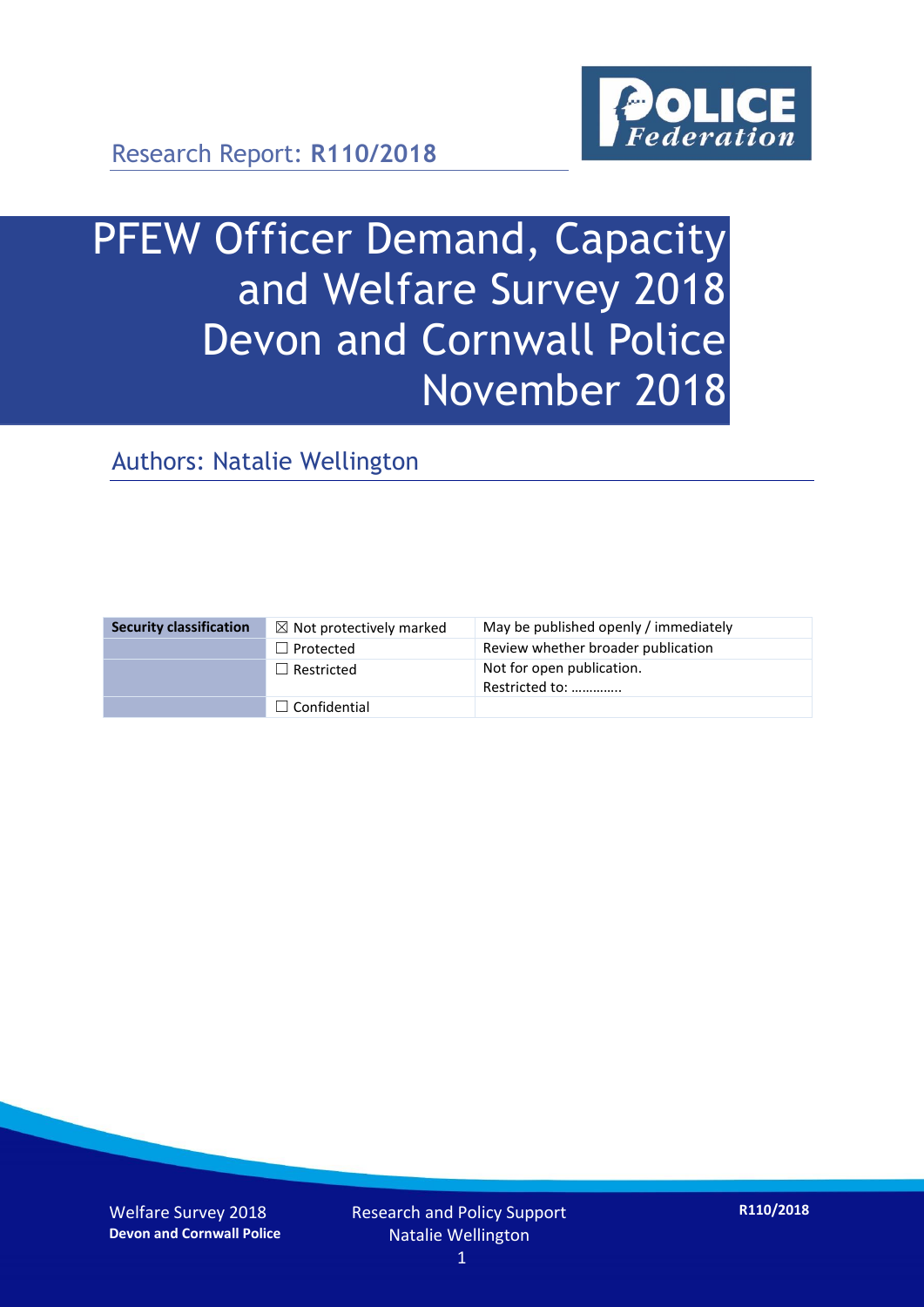

# PFEW Officer Demand, Capacity and Welfare Survey 2018 Devon and Cornwall Police November 2018

Authors: Natalie Wellington

| <b>Security classification</b> | $\boxtimes$ Not protectively marked | May be published openly / immediately       |
|--------------------------------|-------------------------------------|---------------------------------------------|
|                                | $\Box$ Protected                    | Review whether broader publication          |
|                                | $\Box$ Restricted                   | Not for open publication.<br>Restricted to: |
|                                | $\Box$ Confidential                 |                                             |

Welfare Survey 2018 **Devon and Cornwall Police**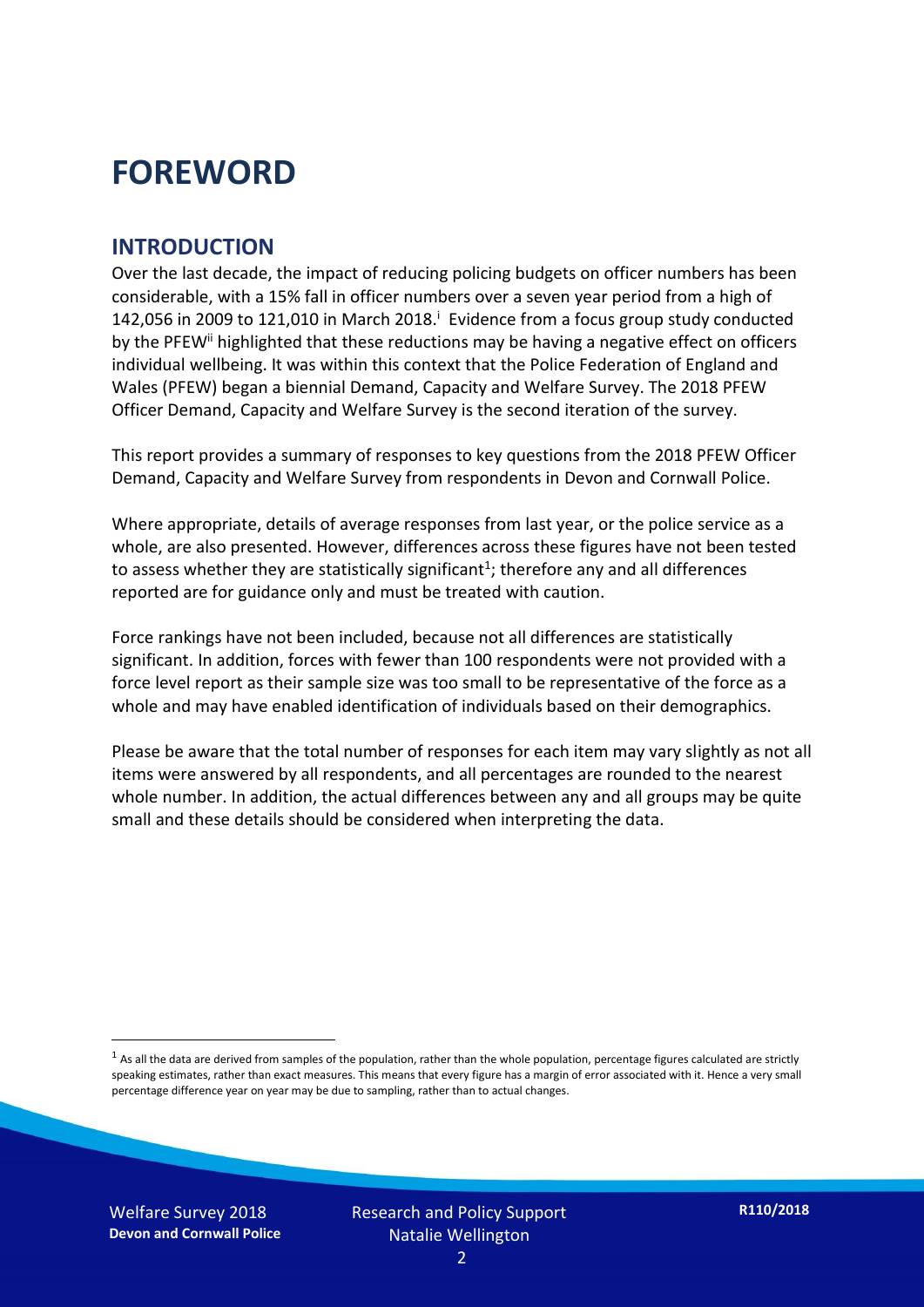### **FOREWORD**

#### **INTRODUCTION**

Over the last decade, the impact of reducing policing budgets on officer numbers has been considerable, with a 15% fall in officer numbers over a seven year period from a high of 142,056 in 2009 to 121,010 in March 2018. $^{\mathrm{i}}$  Evidence from a focus group study conducted by the PFEW<sup>ii</sup> highlighted that these reductions may be having a negative effect on officers individual wellbeing. It was within this context that the Police Federation of England and Wales (PFEW) began a biennial Demand, Capacity and Welfare Survey. The 2018 PFEW Officer Demand, Capacity and Welfare Survey is the second iteration of the survey.

This report provides a summary of responses to key questions from the 2018 PFEW Officer Demand, Capacity and Welfare Survey from respondents in Devon and Cornwall Police.

Where appropriate, details of average responses from last year, or the police service as a whole, are also presented. However, differences across these figures have not been tested to assess whether they are statistically significant<sup>1</sup>; therefore any and all differences reported are for guidance only and must be treated with caution.

Force rankings have not been included, because not all differences are statistically significant. In addition, forces with fewer than 100 respondents were not provided with a force level report as their sample size was too small to be representative of the force as a whole and may have enabled identification of individuals based on their demographics.

Please be aware that the total number of responses for each item may vary slightly as not all items were answered by all respondents, and all percentages are rounded to the nearest whole number. In addition, the actual differences between any and all groups may be quite small and these details should be considered when interpreting the data.

Welfare Survey 2018 **Devon and Cornwall Police**

-

 $<sup>1</sup>$  As all the data are derived from samples of the population, rather than the whole population, percentage figures calculated are strictly</sup> speaking estimates, rather than exact measures. This means that every figure has a margin of error associated with it. Hence a very small percentage difference year on year may be due to sampling, rather than to actual changes.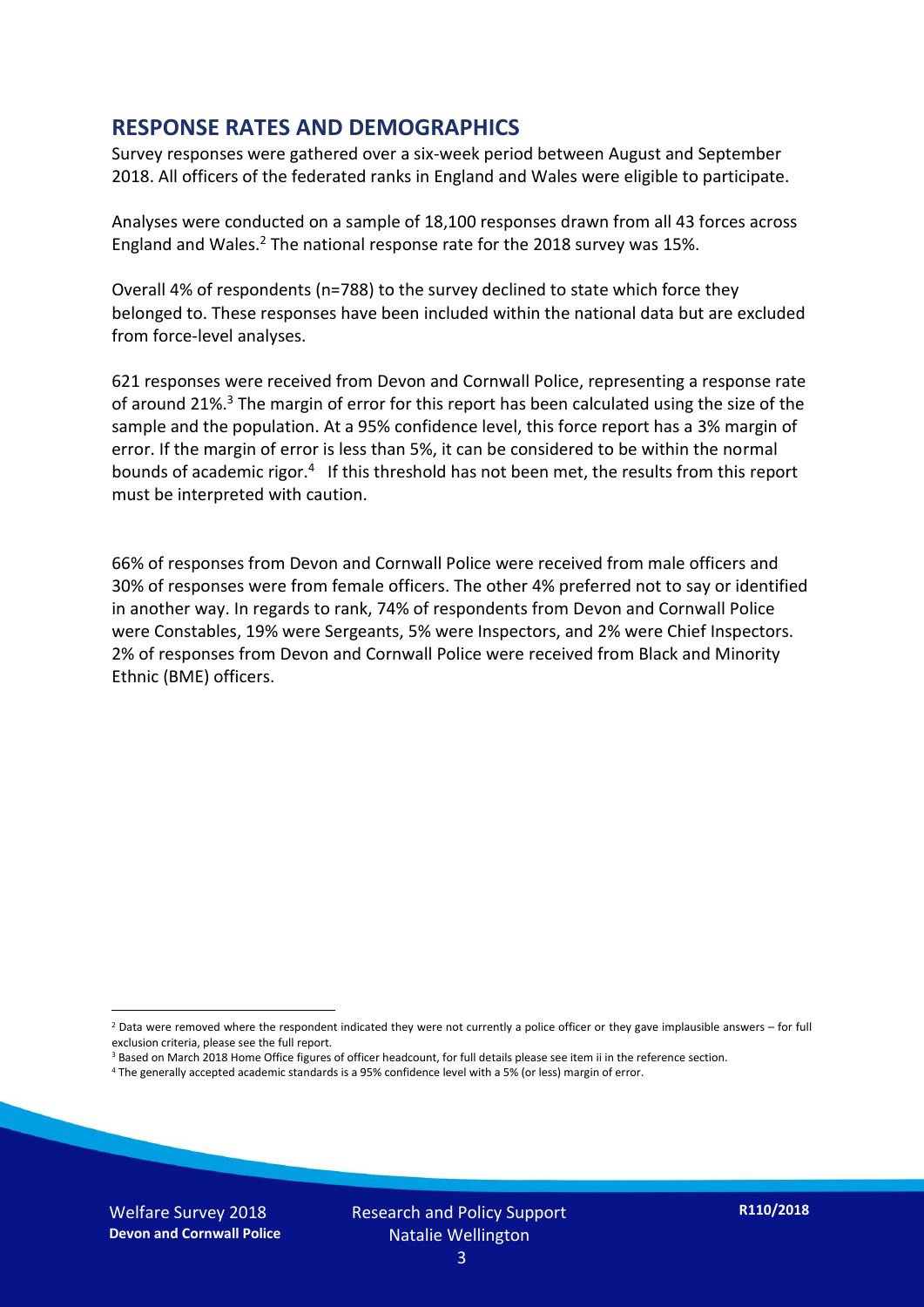#### **RESPONSE RATES AND DEMOGRAPHICS**

Survey responses were gathered over a six-week period between August and September 2018. All officers of the federated ranks in England and Wales were eligible to participate.

Analyses were conducted on a sample of 18,100 responses drawn from all 43 forces across England and Wales.<sup>2</sup> The national response rate for the 2018 survey was 15%.

Overall 4% of respondents (n=788) to the survey declined to state which force they belonged to. These responses have been included within the national data but are excluded from force-level analyses.

621 responses were received from Devon and Cornwall Police, representing a response rate of around 21%.<sup>3</sup> The margin of error for this report has been calculated using the size of the sample and the population. At a 95% confidence level, this force report has a 3% margin of error. If the margin of error is less than 5%, it can be considered to be within the normal bounds of academic rigor.<sup>4</sup> If this threshold has not been met, the results from this report must be interpreted with caution.

66% of responses from Devon and Cornwall Police were received from male officers and 30% of responses were from female officers. The other 4% preferred not to say or identified in another way. In regards to rank, 74% of respondents from Devon and Cornwall Police were Constables, 19% were Sergeants, 5% were Inspectors, and 2% were Chief Inspectors. 2% of responses from Devon and Cornwall Police were received from Black and Minority Ethnic (BME) officers.

-

 $2$  Data were removed where the respondent indicated they were not currently a police officer or they gave implausible answers – for full exclusion criteria, please see the full report.

<sup>3</sup> Based on March 2018 Home Office figures of officer headcount, for full details please see item ii in the reference section.

<sup>4</sup> The generally accepted academic standards is a 95% confidence level with a 5% (or less) margin of error.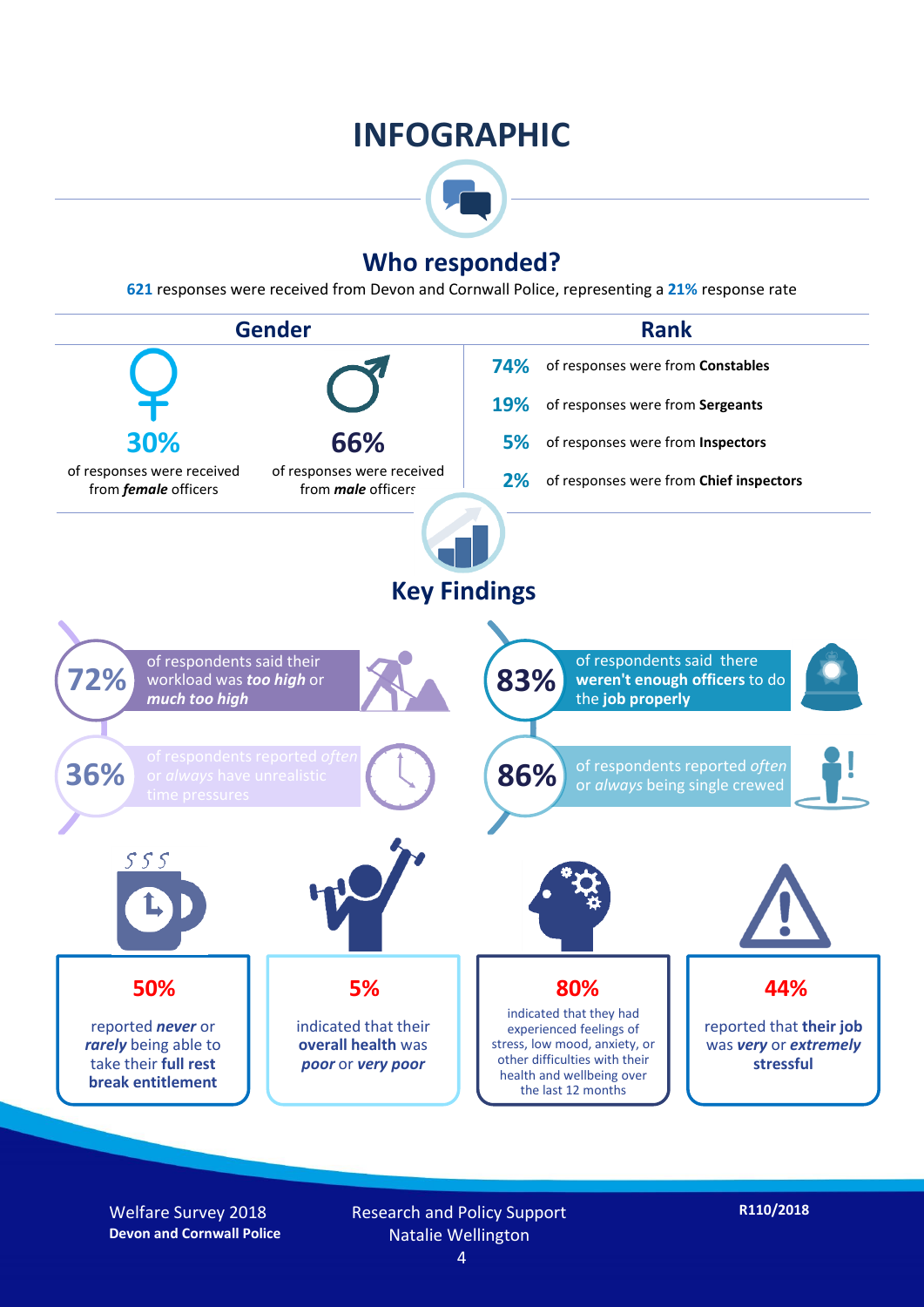### **INFOGRAPHIC**



#### **Who responded?**

**621** responses were received from Devon and Cornwall Police, representing a **21%** response rate



Welfare Survey 2018 **Devon and Cornwall Police** Research and Policy Support Natalie Wellington 4

**R110/2018**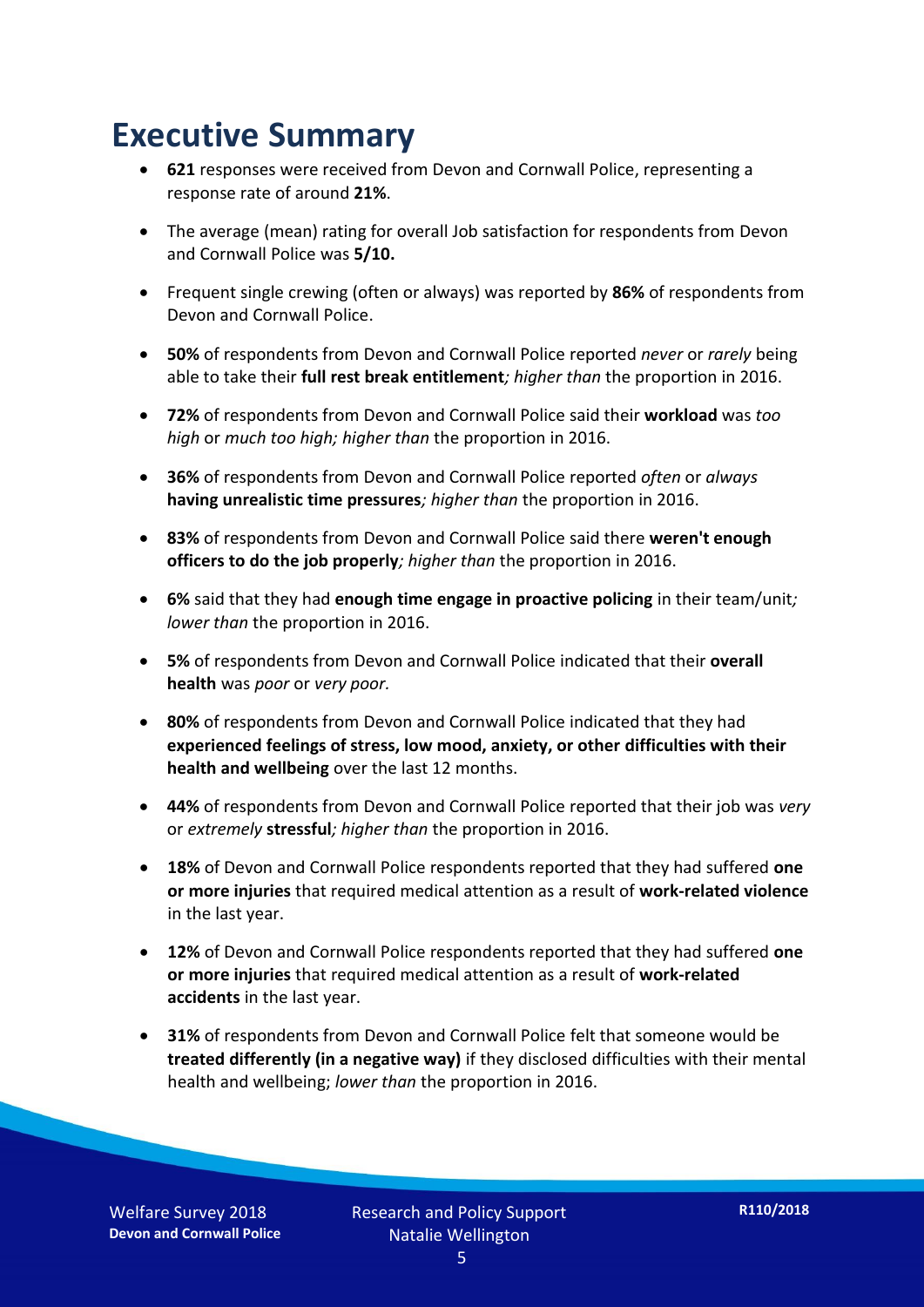### **Executive Summary**

- **621** responses were received from Devon and Cornwall Police, representing a response rate of around **21%**.
- The average (mean) rating for overall Job satisfaction for respondents from Devon and Cornwall Police was **5/10.**
- Frequent single crewing (often or always) was reported by **86%** of respondents from Devon and Cornwall Police.
- **50%** of respondents from Devon and Cornwall Police reported *never* or *rarely* being able to take their **full rest break entitlement***; higher than* the proportion in 2016.
- **72%** of respondents from Devon and Cornwall Police said their **workload** was *too high* or *much too high; higher than* the proportion in 2016.
- **36%** of respondents from Devon and Cornwall Police reported *often* or *always* **having unrealistic time pressures***; higher than* the proportion in 2016.
- **83%** of respondents from Devon and Cornwall Police said there **weren't enough officers to do the job properly***; higher than* the proportion in 2016.
- **6%** said that they had **enough time engage in proactive policing** in their team/unit*; lower than* the proportion in 2016.
- **5%** of respondents from Devon and Cornwall Police indicated that their **overall health** was *poor* or *very poor.*
- **80%** of respondents from Devon and Cornwall Police indicated that they had **experienced feelings of stress, low mood, anxiety, or other difficulties with their health and wellbeing** over the last 12 months.
- **44%** of respondents from Devon and Cornwall Police reported that their job was *very*  or *extremely* **stressful***; higher than* the proportion in 2016.
- **18%** of Devon and Cornwall Police respondents reported that they had suffered **one or more injuries** that required medical attention as a result of **work-related violence**  in the last year.
- **12%** of Devon and Cornwall Police respondents reported that they had suffered **one or more injuries** that required medical attention as a result of **work-related accidents** in the last year.
- **31%** of respondents from Devon and Cornwall Police felt that someone would be **treated differently (in a negative way)** if they disclosed difficulties with their mental health and wellbeing; *lower than* the proportion in 2016.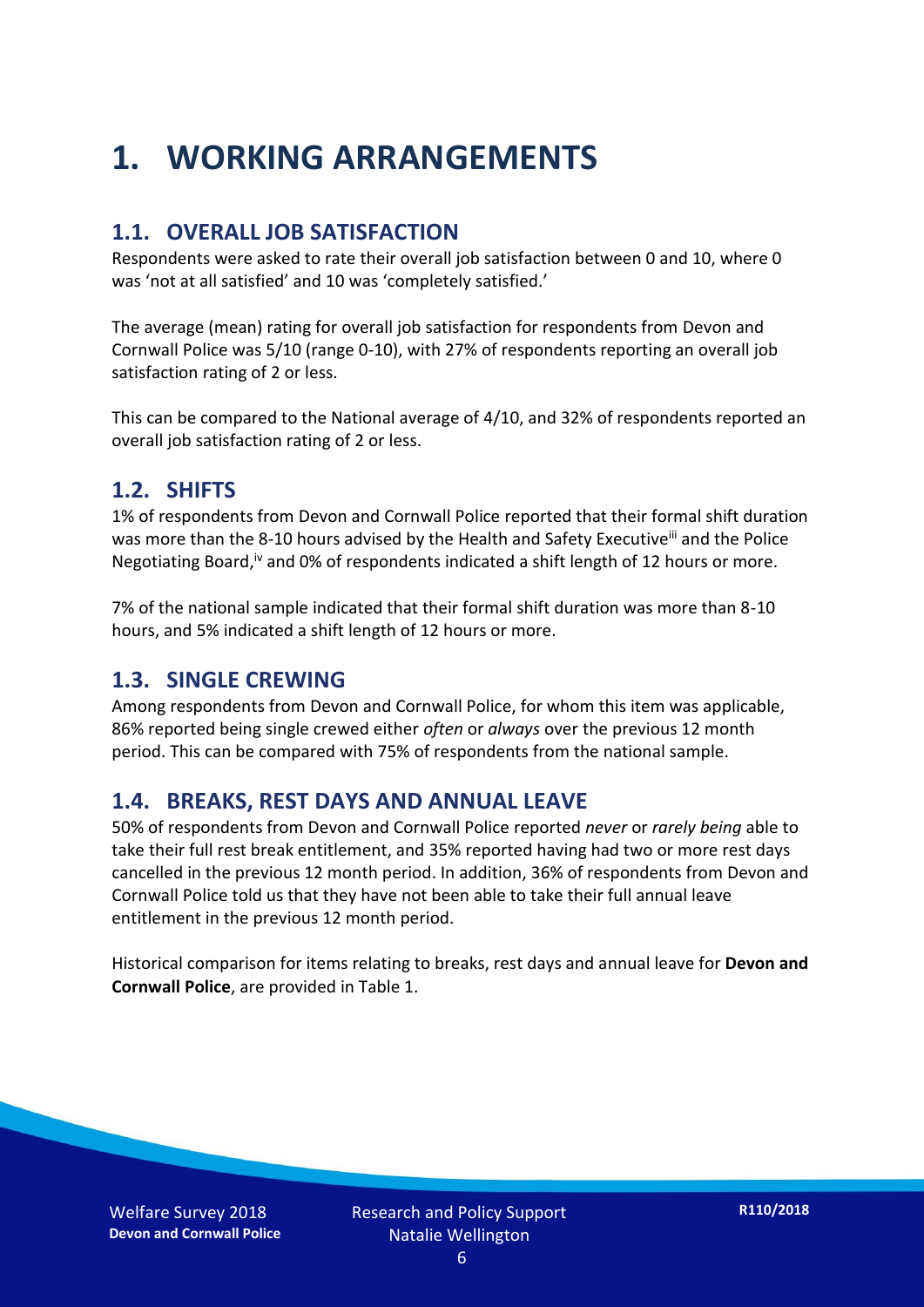### **1. WORKING ARRANGEMENTS**

#### **1.1. OVERALL JOB SATISFACTION**

Respondents were asked to rate their overall job satisfaction between 0 and 10, where 0 was 'not at all satisfied' and 10 was 'completely satisfied.'

The average (mean) rating for overall job satisfaction for respondents from Devon and Cornwall Police was 5/10 (range 0-10), with 27% of respondents reporting an overall job satisfaction rating of 2 or less.

This can be compared to the National average of 4/10, and 32% of respondents reported an overall job satisfaction rating of 2 or less.

#### **1.2. SHIFTS**

1% of respondents from Devon and Cornwall Police reported that their formal shift duration was more than the 8-10 hours advised by the Health and Safety Executive<sup>iii</sup> and the Police Negotiating Board,<sup>iv</sup> and 0% of respondents indicated a shift length of 12 hours or more.

7% of the national sample indicated that their formal shift duration was more than 8-10 hours, and 5% indicated a shift length of 12 hours or more.

#### **1.3. SINGLE CREWING**

Among respondents from Devon and Cornwall Police, for whom this item was applicable, 86% reported being single crewed either *often* or *always* over the previous 12 month period. This can be compared with 75% of respondents from the national sample.

#### **1.4. BREAKS, REST DAYS AND ANNUAL LEAVE**

50% of respondents from Devon and Cornwall Police reported *never* or *rarely being* able to take their full rest break entitlement, and 35% reported having had two or more rest days cancelled in the previous 12 month period. In addition, 36% of respondents from Devon and Cornwall Police told us that they have not been able to take their full annual leave entitlement in the previous 12 month period.

Historical comparison for items relating to breaks, rest days and annual leave for **Devon and Cornwall Police**, are provided in Table 1.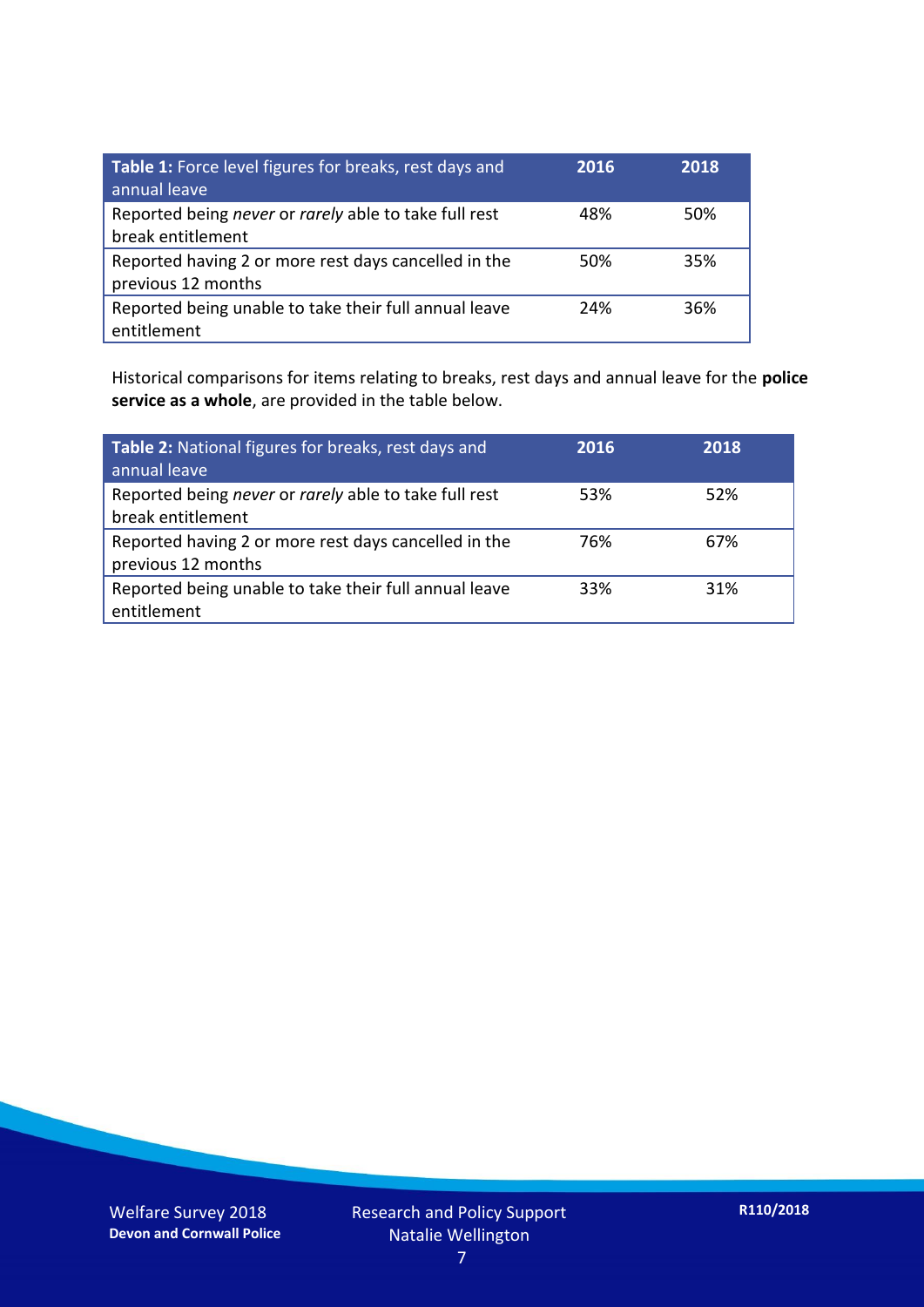| Table 1: Force level figures for breaks, rest days and<br>annual leave     | 2016 | 2018 |
|----------------------------------------------------------------------------|------|------|
| Reported being never or rarely able to take full rest<br>break entitlement | 48%  | 50%  |
| Reported having 2 or more rest days cancelled in the<br>previous 12 months | 50%  | 35%  |
| Reported being unable to take their full annual leave<br>entitlement       | 24%  | 36%  |

Historical comparisons for items relating to breaks, rest days and annual leave for the **police service as a whole**, are provided in the table below.

| Table 2: National figures for breaks, rest days and<br>annual leave        | 2016 | 2018 |
|----------------------------------------------------------------------------|------|------|
| Reported being never or rarely able to take full rest<br>break entitlement | 53%  | 52%  |
| Reported having 2 or more rest days cancelled in the<br>previous 12 months | 76%  | 67%  |
| Reported being unable to take their full annual leave<br>entitlement       | 33%  | 31%  |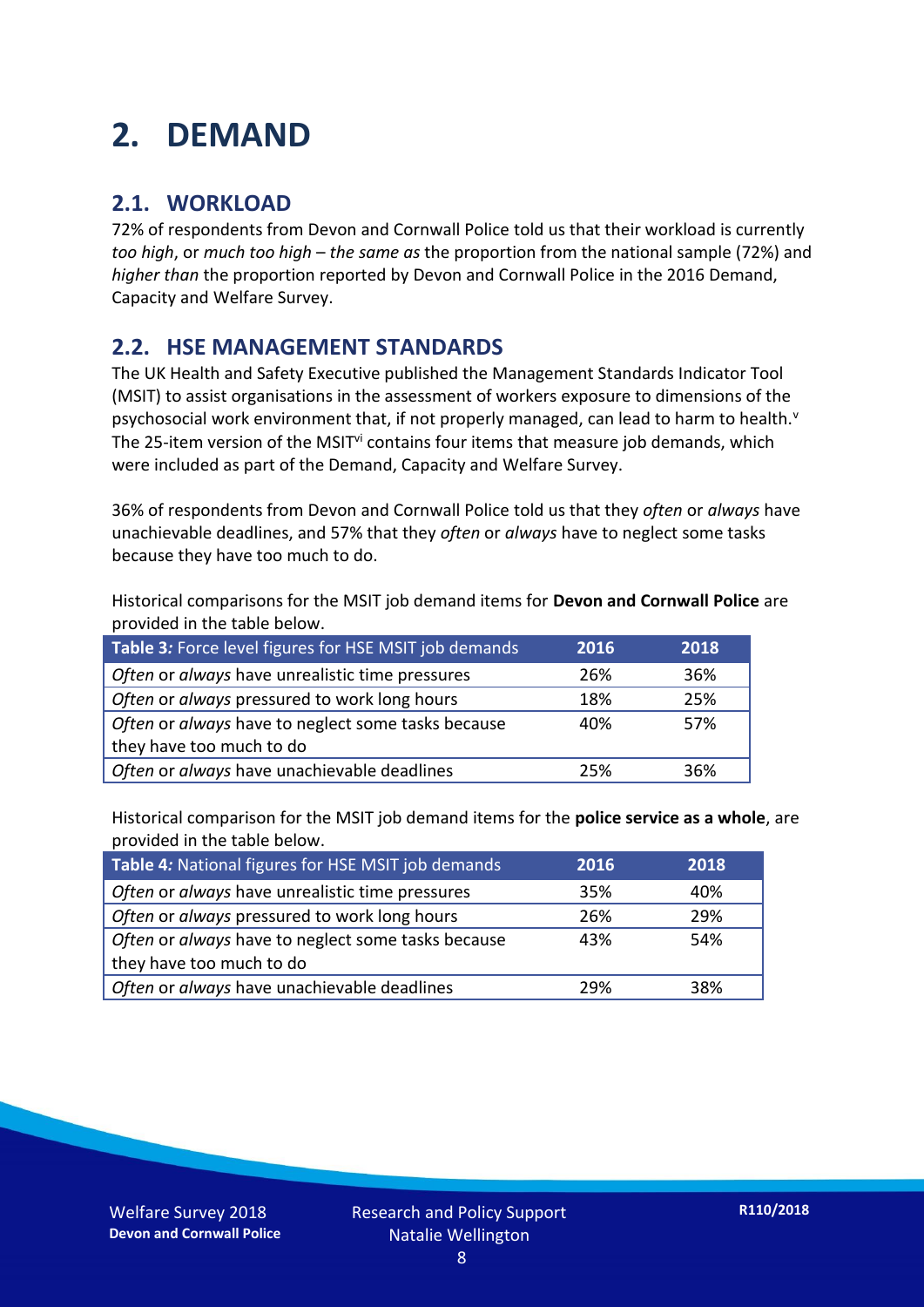### **2. DEMAND**

#### **2.1. WORKLOAD**

72% of respondents from Devon and Cornwall Police told us that their workload is currently *too high*, or *much too high* – *the same as* the proportion from the national sample (72%) and *higher than* the proportion reported by Devon and Cornwall Police in the 2016 Demand, Capacity and Welfare Survey.

#### **2.2. HSE MANAGEMENT STANDARDS**

The UK Health and Safety Executive published the Management Standards Indicator Tool (MSIT) to assist organisations in the assessment of workers exposure to dimensions of the psychosocial work environment that, if not properly managed, can lead to harm to health.<sup>v</sup> The 25-item version of the MSIT<sup>vi</sup> contains four items that measure job demands, which were included as part of the Demand, Capacity and Welfare Survey.

36% of respondents from Devon and Cornwall Police told us that they *often* or *always* have unachievable deadlines, and 57% that they *often* or *always* have to neglect some tasks because they have too much to do.

Historical comparisons for the MSIT job demand items for **Devon and Cornwall Police** are provided in the table below.

| Table 3: Force level figures for HSE MSIT job demands | 2016 | 2018 |
|-------------------------------------------------------|------|------|
| Often or always have unrealistic time pressures       | 26%  | 36%  |
| Often or always pressured to work long hours          | 18%  | 25%  |
| Often or always have to neglect some tasks because    | 40%  | 57%  |
| they have too much to do                              |      |      |
| Often or always have unachievable deadlines           | 25%  | 36%  |

Historical comparison for the MSIT job demand items for the **police service as a whole**, are provided in the table below.

| Table 4: National figures for HSE MSIT job demands | 2016 | 2018 |
|----------------------------------------------------|------|------|
| Often or always have unrealistic time pressures    | 35%  | 40%  |
| Often or always pressured to work long hours       | 26%  | 29%  |
| Often or always have to neglect some tasks because | 43%  | 54%  |
| they have too much to do                           |      |      |
| Often or always have unachievable deadlines        | 29%  | 38%  |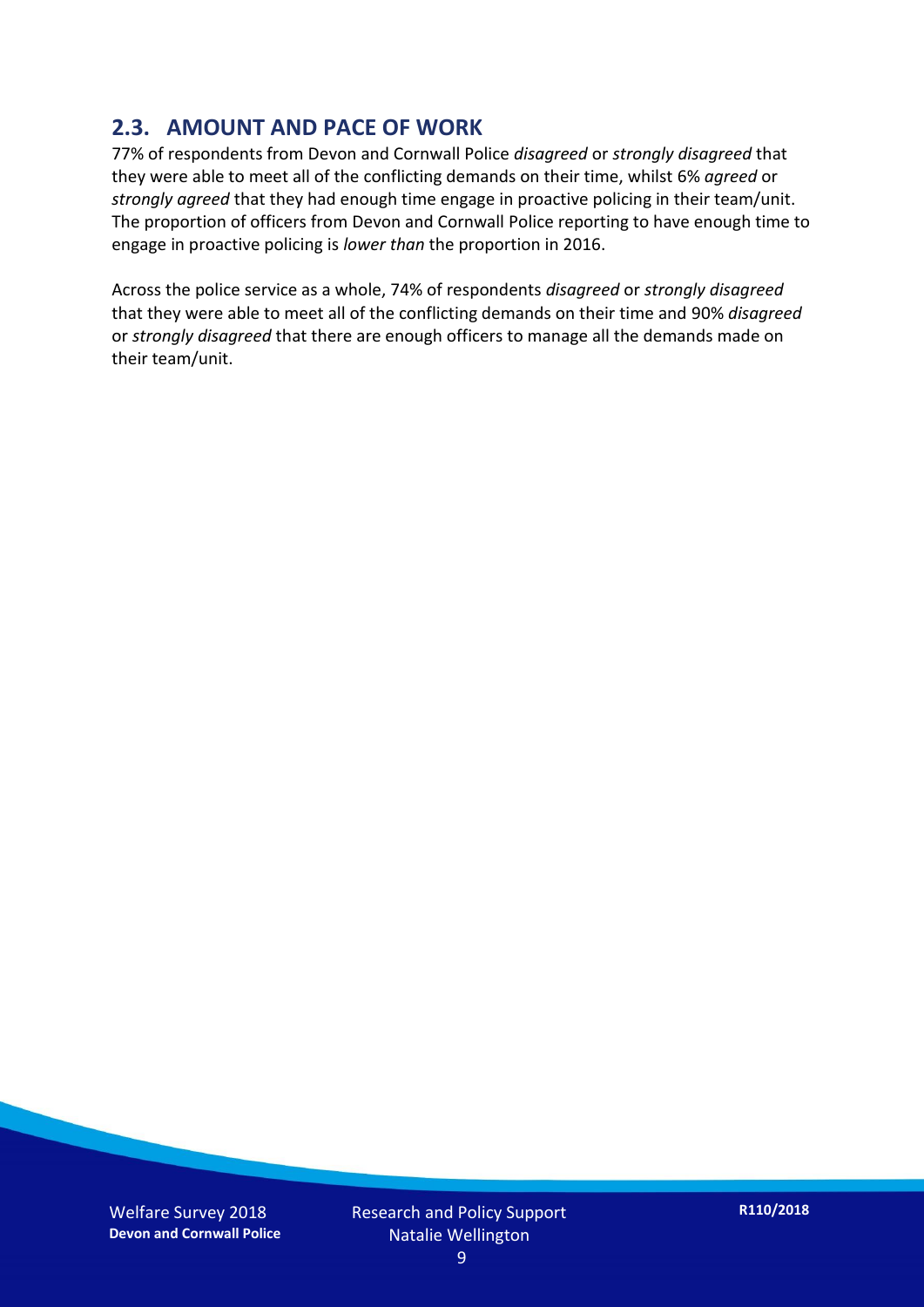#### **2.3. AMOUNT AND PACE OF WORK**

77% of respondents from Devon and Cornwall Police *disagreed* or *strongly disagreed* that they were able to meet all of the conflicting demands on their time, whilst 6% *agreed* or *strongly agreed* that they had enough time engage in proactive policing in their team/unit. The proportion of officers from Devon and Cornwall Police reporting to have enough time to engage in proactive policing is *lower than* the proportion in 2016.

Across the police service as a whole, 74% of respondents *disagreed* or *strongly disagreed* that they were able to meet all of the conflicting demands on their time and 90% *disagreed* or *strongly disagreed* that there are enough officers to manage all the demands made on their team/unit.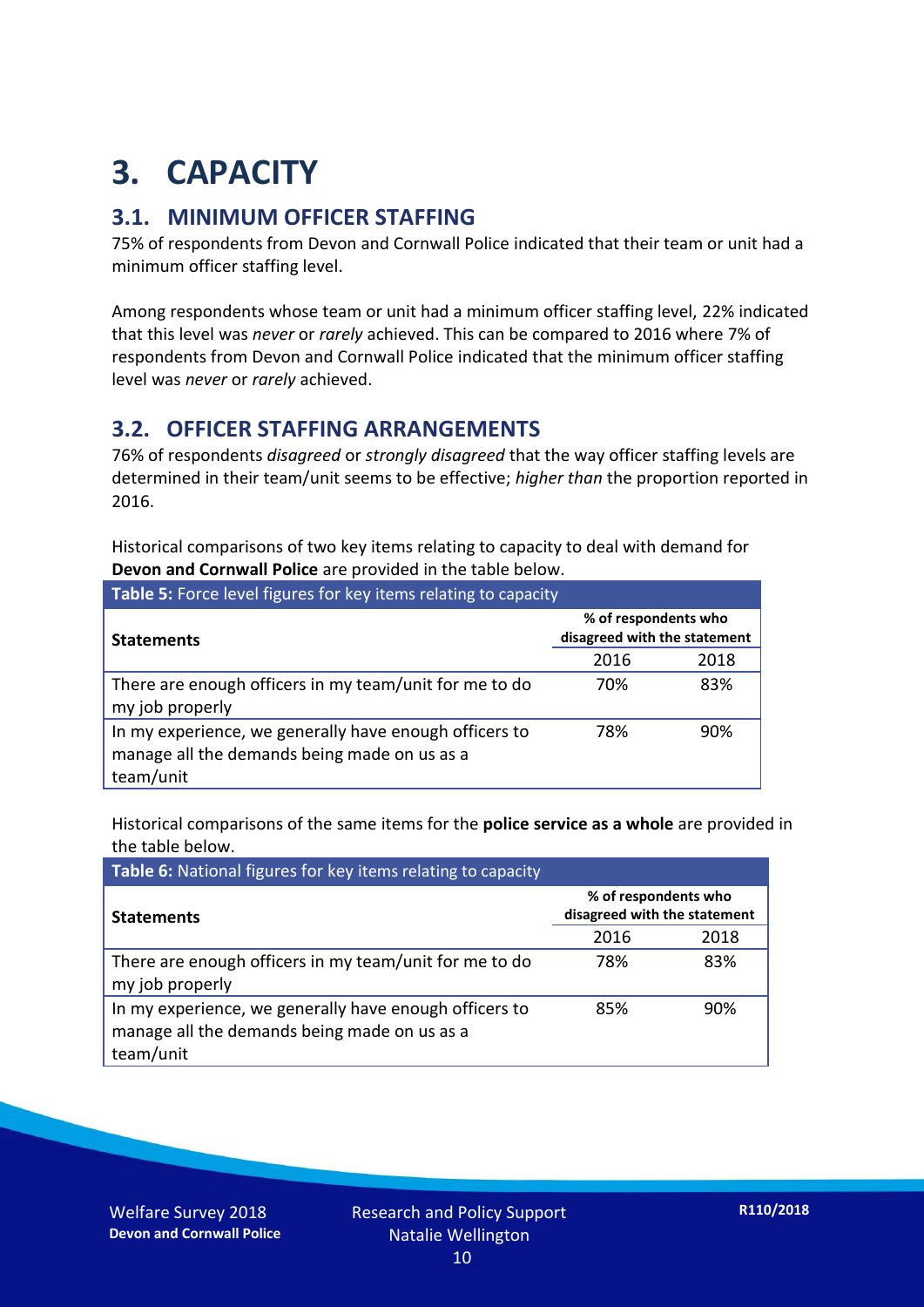## **3. CAPACITY**

#### **3.1. MINIMUM OFFICER STAFFING**

75% of respondents from Devon and Cornwall Police indicated that their team or unit had a minimum officer staffing level.

Among respondents whose team or unit had a minimum officer staffing level, 22% indicated that this level was *never* or *rarely* achieved. This can be compared to 2016 where 7% of respondents from Devon and Cornwall Police indicated that the minimum officer staffing level was *never* or *rarely* achieved.

#### **3.2. OFFICER STAFFING ARRANGEMENTS**

76% of respondents *disagreed* or *strongly disagreed* that the way officer staffing levels are determined in their team/unit seems to be effective; *higher than* the proportion reported in 2016.

Historical comparisons of two key items relating to capacity to deal with demand for **Devon and Cornwall Police** are provided in the table below.

| Table 5: Force level figures for key items relating to capacity                                                     |                                                      |      |  |
|---------------------------------------------------------------------------------------------------------------------|------------------------------------------------------|------|--|
| <b>Statements</b>                                                                                                   | % of respondents who<br>disagreed with the statement |      |  |
|                                                                                                                     | 2016                                                 | 2018 |  |
| There are enough officers in my team/unit for me to do<br>my job properly                                           | 70%                                                  | 83%  |  |
| In my experience, we generally have enough officers to<br>manage all the demands being made on us as a<br>team/unit | 78%                                                  | 90%  |  |

Historical comparisons of the same items for the **police service as a whole** are provided in the table below.

| Table 6: National figures for key items relating to capacity                                                        |                                                      |      |  |  |
|---------------------------------------------------------------------------------------------------------------------|------------------------------------------------------|------|--|--|
| <b>Statements</b>                                                                                                   | % of respondents who<br>disagreed with the statement |      |  |  |
|                                                                                                                     | 2016                                                 | 2018 |  |  |
| There are enough officers in my team/unit for me to do<br>my job properly                                           | 78%                                                  | 83%  |  |  |
| In my experience, we generally have enough officers to<br>manage all the demands being made on us as a<br>team/unit | 85%                                                  | 90%  |  |  |

Welfare Survey 2018 **Devon and Cornwall Police**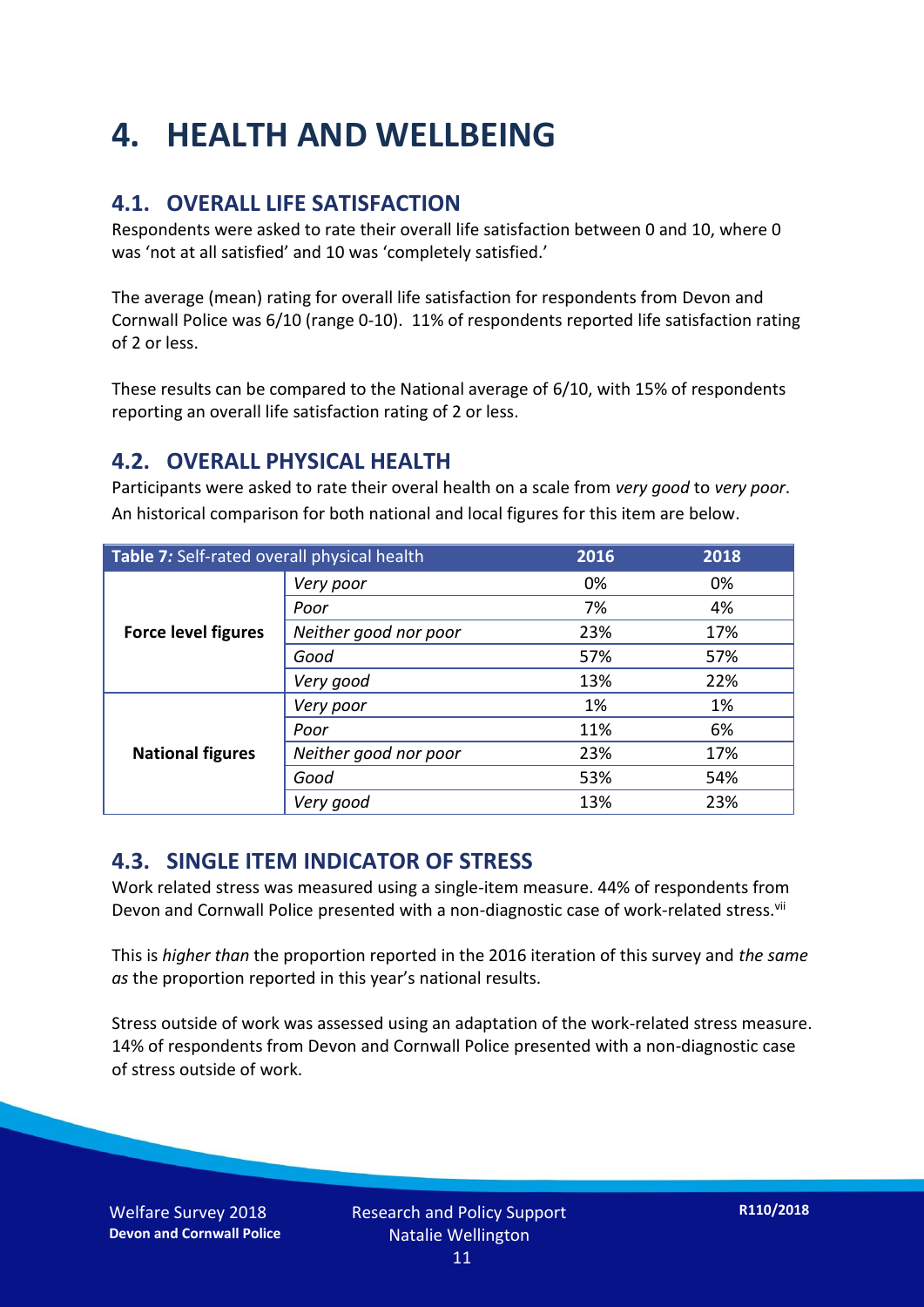### **4. HEALTH AND WELLBEING**

#### **4.1. OVERALL LIFE SATISFACTION**

Respondents were asked to rate their overall life satisfaction between 0 and 10, where 0 was 'not at all satisfied' and 10 was 'completely satisfied.'

The average (mean) rating for overall life satisfaction for respondents from Devon and Cornwall Police was 6/10 (range 0-10). 11% of respondents reported life satisfaction rating of 2 or less.

These results can be compared to the National average of 6/10, with 15% of respondents reporting an overall life satisfaction rating of 2 or less.

#### **4.2. OVERALL PHYSICAL HEALTH**

Participants were asked to rate their overal health on a scale from *very good* to *very poor*. An historical comparison for both national and local figures for this item are below.

| Table 7: Self-rated overall physical health |                       | 2016 | 2018 |
|---------------------------------------------|-----------------------|------|------|
|                                             | Very poor             | 0%   | 0%   |
|                                             | Poor                  | 7%   | 4%   |
| <b>Force level figures</b>                  | Neither good nor poor | 23%  | 17%  |
|                                             | Good                  | 57%  | 57%  |
|                                             | Very good             | 13%  | 22%  |
| <b>National figures</b>                     | Very poor             | 1%   | 1%   |
|                                             | Poor                  | 11%  | 6%   |
|                                             | Neither good nor poor | 23%  | 17%  |
|                                             | Good                  | 53%  | 54%  |
|                                             | Very good             | 13%  | 23%  |

#### **4.3. SINGLE ITEM INDICATOR OF STRESS**

Work related stress was measured using a single-item measure. 44% of respondents from Devon and Cornwall Police presented with a non-diagnostic case of work-related stress.<sup>vii</sup>

This is *higher than* the proportion reported in the 2016 iteration of this survey and *the same as* the proportion reported in this year's national results.

Stress outside of work was assessed using an adaptation of the work-related stress measure. 14% of respondents from Devon and Cornwall Police presented with a non-diagnostic case of stress outside of work.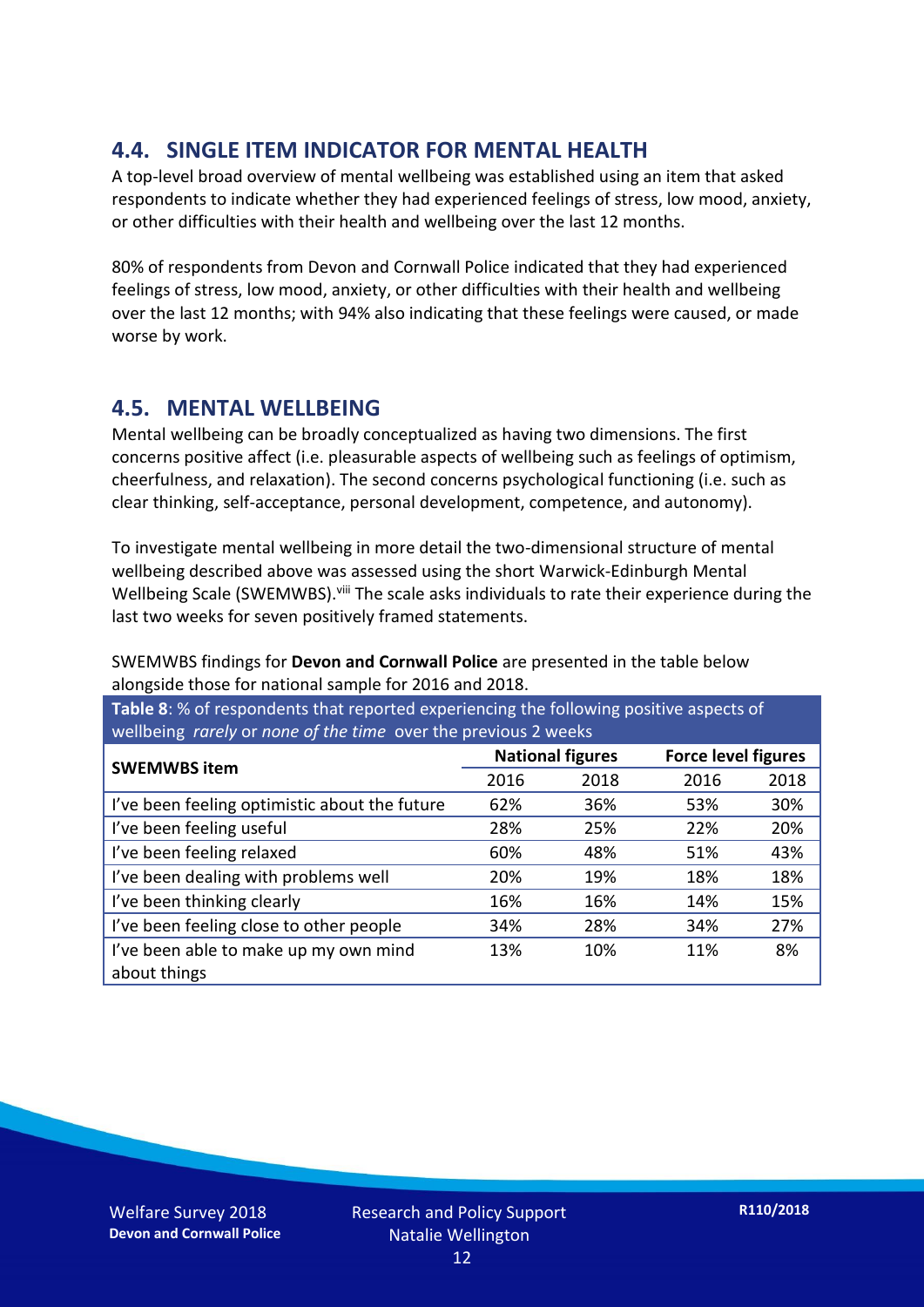#### **4.4. SINGLE ITEM INDICATOR FOR MENTAL HEALTH**

A top-level broad overview of mental wellbeing was established using an item that asked respondents to indicate whether they had experienced feelings of stress, low mood, anxiety, or other difficulties with their health and wellbeing over the last 12 months.

80% of respondents from Devon and Cornwall Police indicated that they had experienced feelings of stress, low mood, anxiety, or other difficulties with their health and wellbeing over the last 12 months; with 94% also indicating that these feelings were caused, or made worse by work.

#### **4.5. MENTAL WELLBEING**

Mental wellbeing can be broadly conceptualized as having two dimensions. The first concerns positive affect (i.e. pleasurable aspects of wellbeing such as feelings of optimism, cheerfulness, and relaxation). The second concerns psychological functioning (i.e. such as clear thinking, self-acceptance, personal development, competence, and autonomy).

To investigate mental wellbeing in more detail the two-dimensional structure of mental wellbeing described above was assessed using the short Warwick-Edinburgh Mental Wellbeing Scale (SWEMWBS). viii The scale asks individuals to rate their experience during the last two weeks for seven positively framed statements.

SWEMWBS findings for **Devon and Cornwall Police** are presented in the table below alongside those for national sample for 2016 and 2018.

**Table 8**: % of respondents that reported experiencing the following positive aspects of wellbeing *rarely* or *none of the time* over the previous 2 weeks

| <b>SWEMWBS item</b>                           | <b>National figures</b> |      | <b>Force level figures</b> |      |
|-----------------------------------------------|-------------------------|------|----------------------------|------|
|                                               | 2016                    | 2018 | 2016                       | 2018 |
| I've been feeling optimistic about the future | 62%                     | 36%  | 53%                        | 30%  |
| I've been feeling useful                      | 28%                     | 25%  | 22%                        | 20%  |
| I've been feeling relaxed                     | 60%                     | 48%  | 51%                        | 43%  |
| I've been dealing with problems well          | 20%                     | 19%  | 18%                        | 18%  |
| I've been thinking clearly                    | 16%                     | 16%  | 14%                        | 15%  |
| I've been feeling close to other people       | 34%                     | 28%  | 34%                        | 27%  |
| I've been able to make up my own mind         | 13%                     | 10%  | 11%                        | 8%   |
| about things                                  |                         |      |                            |      |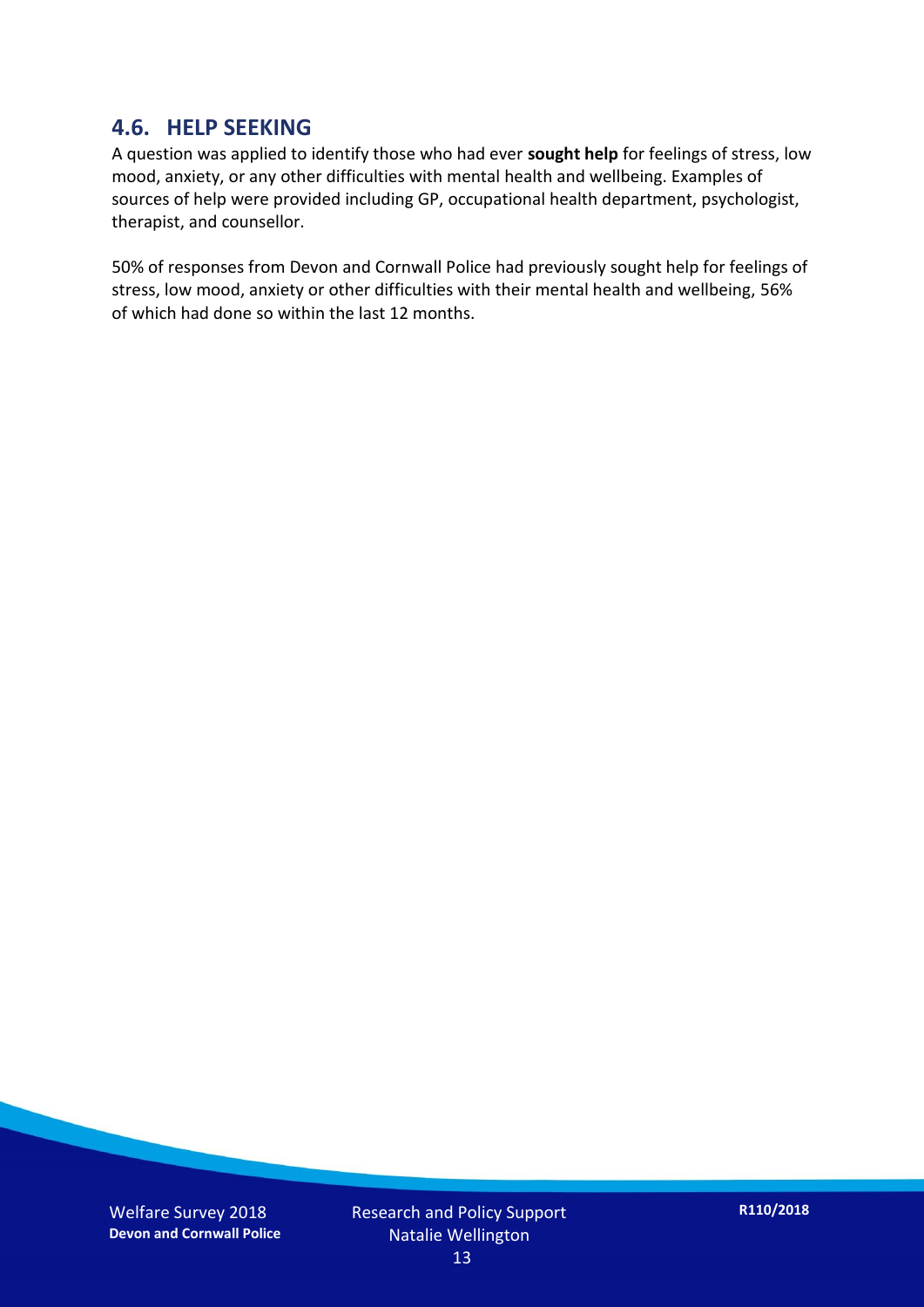#### **4.6. HELP SEEKING**

A question was applied to identify those who had ever **sought help** for feelings of stress, low mood, anxiety, or any other difficulties with mental health and wellbeing. Examples of sources of help were provided including GP, occupational health department, psychologist, therapist, and counsellor.

50% of responses from Devon and Cornwall Police had previously sought help for feelings of stress, low mood, anxiety or other difficulties with their mental health and wellbeing, 56% of which had done so within the last 12 months.

Welfare Survey 2018 **Devon and Cornwall Police**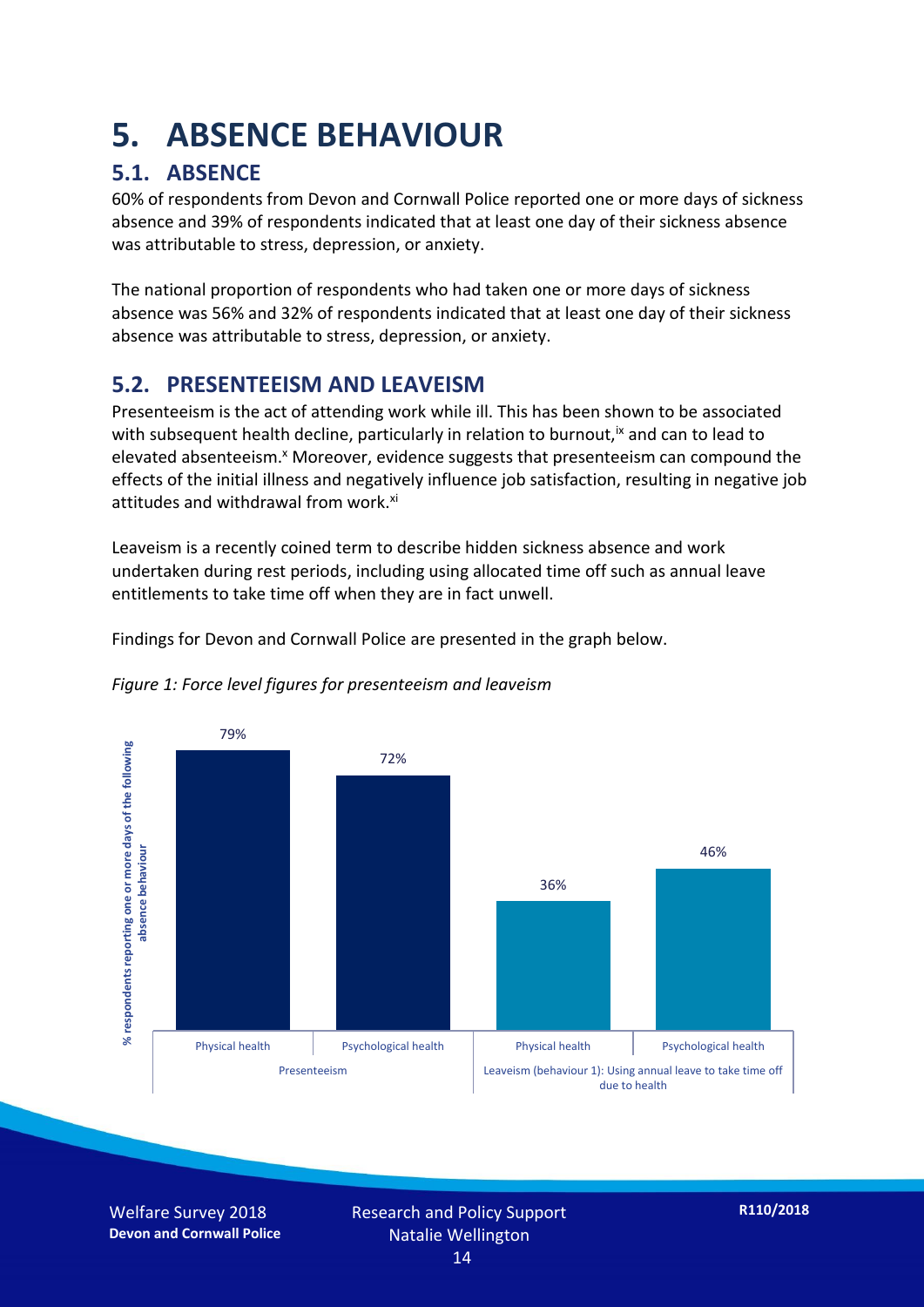### **5. ABSENCE BEHAVIOUR**

#### **5.1. ABSENCE**

60% of respondents from Devon and Cornwall Police reported one or more days of sickness absence and 39% of respondents indicated that at least one day of their sickness absence was attributable to stress, depression, or anxiety.

The national proportion of respondents who had taken one or more days of sickness absence was 56% and 32% of respondents indicated that at least one day of their sickness absence was attributable to stress, depression, or anxiety.

#### **5.2. PRESENTEEISM AND LEAVEISM**

Presenteeism is the act of attending work while ill. This has been shown to be associated with subsequent health decline, particularly in relation to burnout,  $\alpha$  and can to lead to elevated absenteeism.<sup>x</sup> Moreover, evidence suggests that presenteeism can compound the effects of the initial illness and negatively influence job satisfaction, resulting in negative job attitudes and withdrawal from work.<sup>xi</sup>

Leaveism is a recently coined term to describe hidden sickness absence and work undertaken during rest periods, including using allocated time off such as annual leave entitlements to take time off when they are in fact unwell.

Findings for Devon and Cornwall Police are presented in the graph below.





Welfare Survey 2018 **Devon and Cornwall Police** Research and Policy Support Natalie Wellington 14

**R110/2018**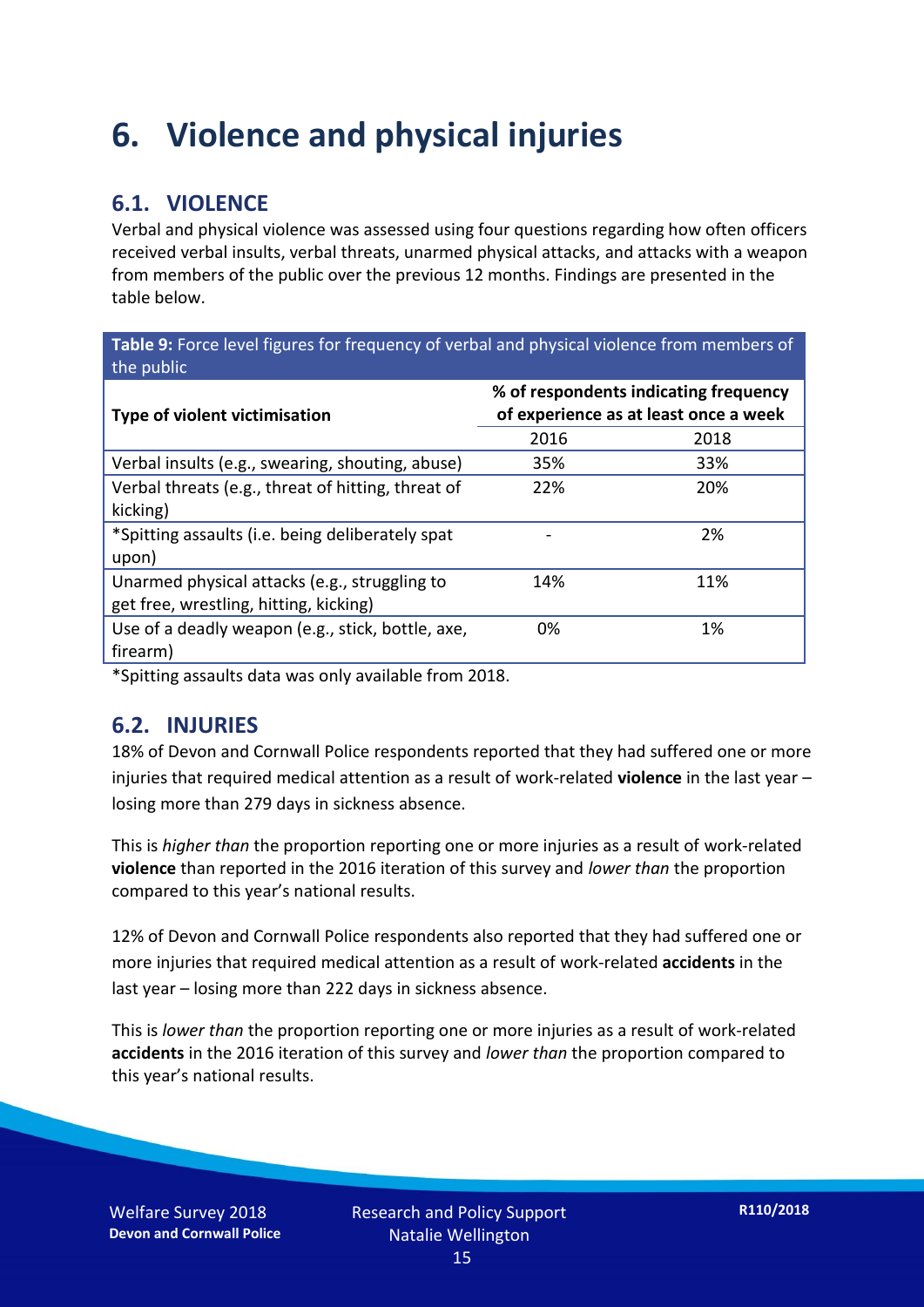### **6. Violence and physical injuries**

#### **6.1. VIOLENCE**

Verbal and physical violence was assessed using four questions regarding how often officers received verbal insults, verbal threats, unarmed physical attacks, and attacks with a weapon from members of the public over the previous 12 months. Findings are presented in the table below.

**Table 9:** Force level figures for frequency of verbal and physical violence from members of the public

| <b>Type of violent victimisation</b>               | % of respondents indicating frequency<br>of experience as at least once a week |      |  |
|----------------------------------------------------|--------------------------------------------------------------------------------|------|--|
|                                                    | 2016                                                                           | 2018 |  |
| Verbal insults (e.g., swearing, shouting, abuse)   | 35%                                                                            | 33%  |  |
| Verbal threats (e.g., threat of hitting, threat of | 22%                                                                            | 20%  |  |
| kicking)                                           |                                                                                |      |  |
| *Spitting assaults (i.e. being deliberately spat   |                                                                                | 2%   |  |
| upon)                                              |                                                                                |      |  |
| Unarmed physical attacks (e.g., struggling to      | 14%                                                                            | 11%  |  |
| get free, wrestling, hitting, kicking)             |                                                                                |      |  |
| Use of a deadly weapon (e.g., stick, bottle, axe,  | 0%                                                                             | 1%   |  |
| firearm)                                           |                                                                                |      |  |

\*Spitting assaults data was only available from 2018.

#### **6.2. INJURIES**

18% of Devon and Cornwall Police respondents reported that they had suffered one or more injuries that required medical attention as a result of work-related **violence** in the last year – losing more than 279 days in sickness absence.

This is *higher than* the proportion reporting one or more injuries as a result of work-related **violence** than reported in the 2016 iteration of this survey and *lower than* the proportion compared to this year's national results.

12% of Devon and Cornwall Police respondents also reported that they had suffered one or more injuries that required medical attention as a result of work-related **accidents** in the last year – losing more than 222 days in sickness absence.

This is *lower than* the proportion reporting one or more injuries as a result of work-related **accidents** in the 2016 iteration of this survey and *lower than* the proportion compared to this year's national results.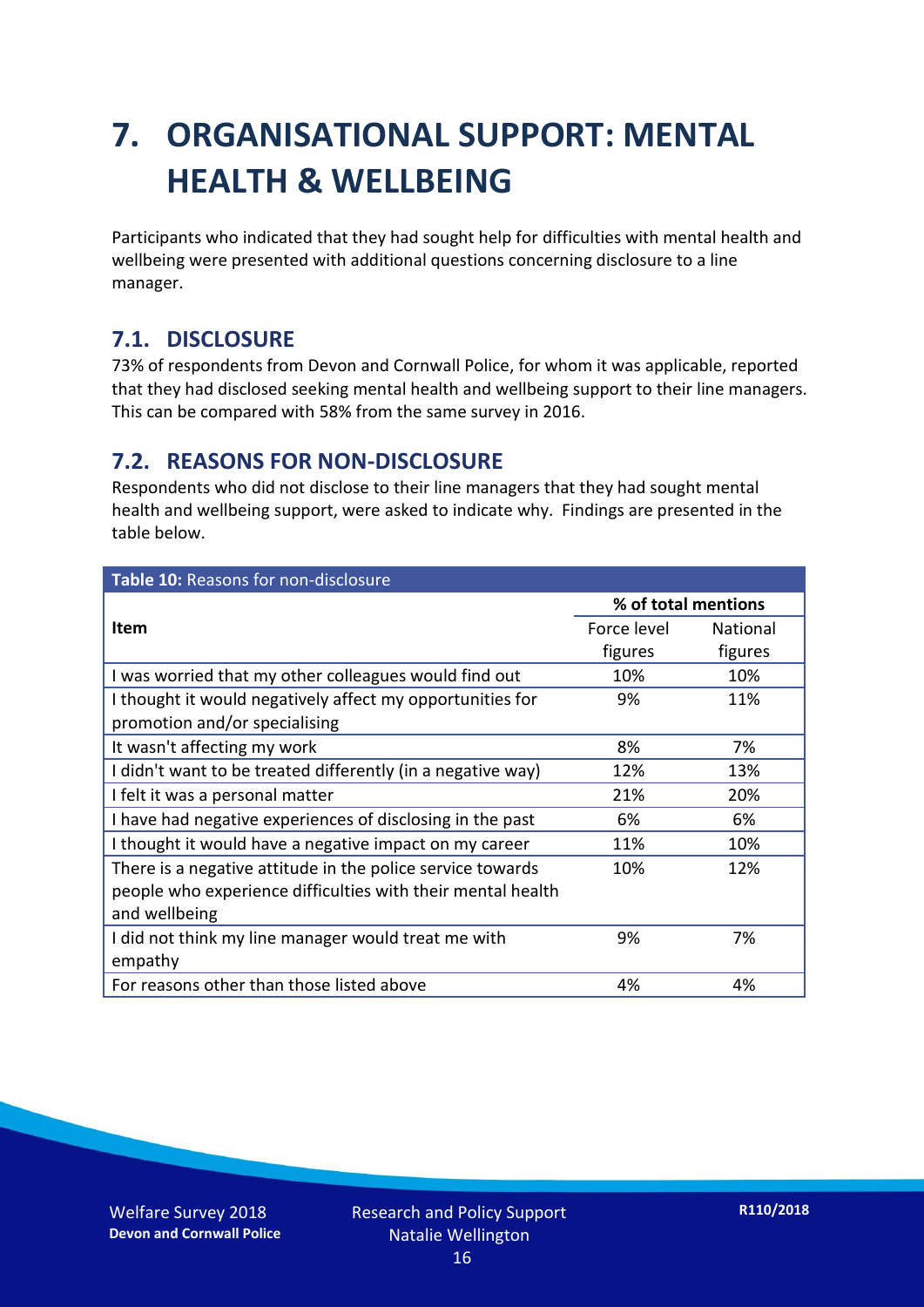### **7. ORGANISATIONAL SUPPORT: MENTAL HEALTH & WELLBEING**

Participants who indicated that they had sought help for difficulties with mental health and wellbeing were presented with additional questions concerning disclosure to a line manager.

#### **7.1. DISCLOSURE**

73% of respondents from Devon and Cornwall Police, for whom it was applicable, reported that they had disclosed seeking mental health and wellbeing support to their line managers. This can be compared with 58% from the same survey in 2016.

#### **7.2. REASONS FOR NON-DISCLOSURE**

Respondents who did not disclose to their line managers that they had sought mental health and wellbeing support, were asked to indicate why. Findings are presented in the table below.

| Table 10: Reasons for non-disclosure                        |                     |                 |  |
|-------------------------------------------------------------|---------------------|-----------------|--|
|                                                             | % of total mentions |                 |  |
| <b>Item</b>                                                 | Force level         | <b>National</b> |  |
|                                                             | figures             | figures         |  |
| I was worried that my other colleagues would find out       | 10%                 | 10%             |  |
| I thought it would negatively affect my opportunities for   | 9%                  | 11%             |  |
| promotion and/or specialising                               |                     |                 |  |
| It wasn't affecting my work                                 | 8%                  | 7%              |  |
| I didn't want to be treated differently (in a negative way) | 12%                 | 13%             |  |
| I felt it was a personal matter                             | 21%                 | 20%             |  |
| I have had negative experiences of disclosing in the past   | 6%                  | 6%              |  |
| I thought it would have a negative impact on my career      | 11%                 | 10%             |  |
| There is a negative attitude in the police service towards  | 10%                 | 12%             |  |
| people who experience difficulties with their mental health |                     |                 |  |
| and wellbeing                                               |                     |                 |  |
| I did not think my line manager would treat me with         | 9%                  | 7%              |  |
| empathy                                                     |                     |                 |  |
| For reasons other than those listed above                   | 4%                  | 4%              |  |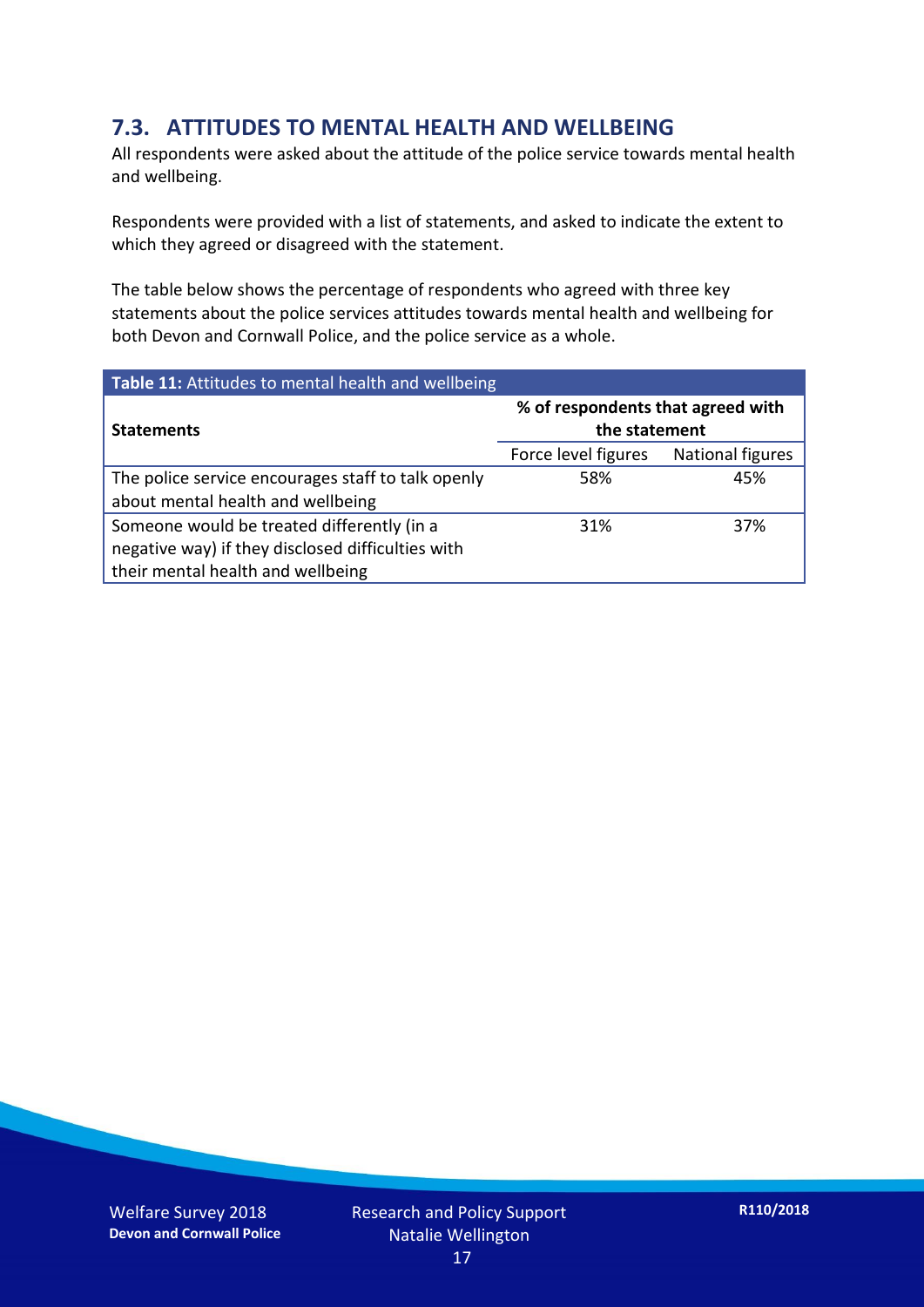#### **7.3. ATTITUDES TO MENTAL HEALTH AND WELLBEING**

All respondents were asked about the attitude of the police service towards mental health and wellbeing.

Respondents were provided with a list of statements, and asked to indicate the extent to which they agreed or disagreed with the statement.

The table below shows the percentage of respondents who agreed with three key statements about the police services attitudes towards mental health and wellbeing for both Devon and Cornwall Police, and the police service as a whole.

| Table 11: Attitudes to mental health and wellbeing |                                                    |                         |  |
|----------------------------------------------------|----------------------------------------------------|-------------------------|--|
| <b>Statements</b>                                  | % of respondents that agreed with<br>the statement |                         |  |
|                                                    | Force level figures                                | <b>National figures</b> |  |
| The police service encourages staff to talk openly | 58%                                                | 45%                     |  |
| about mental health and wellbeing                  |                                                    |                         |  |
| Someone would be treated differently (in a         | 31%                                                | 37%                     |  |
| negative way) if they disclosed difficulties with  |                                                    |                         |  |
| their mental health and wellbeing                  |                                                    |                         |  |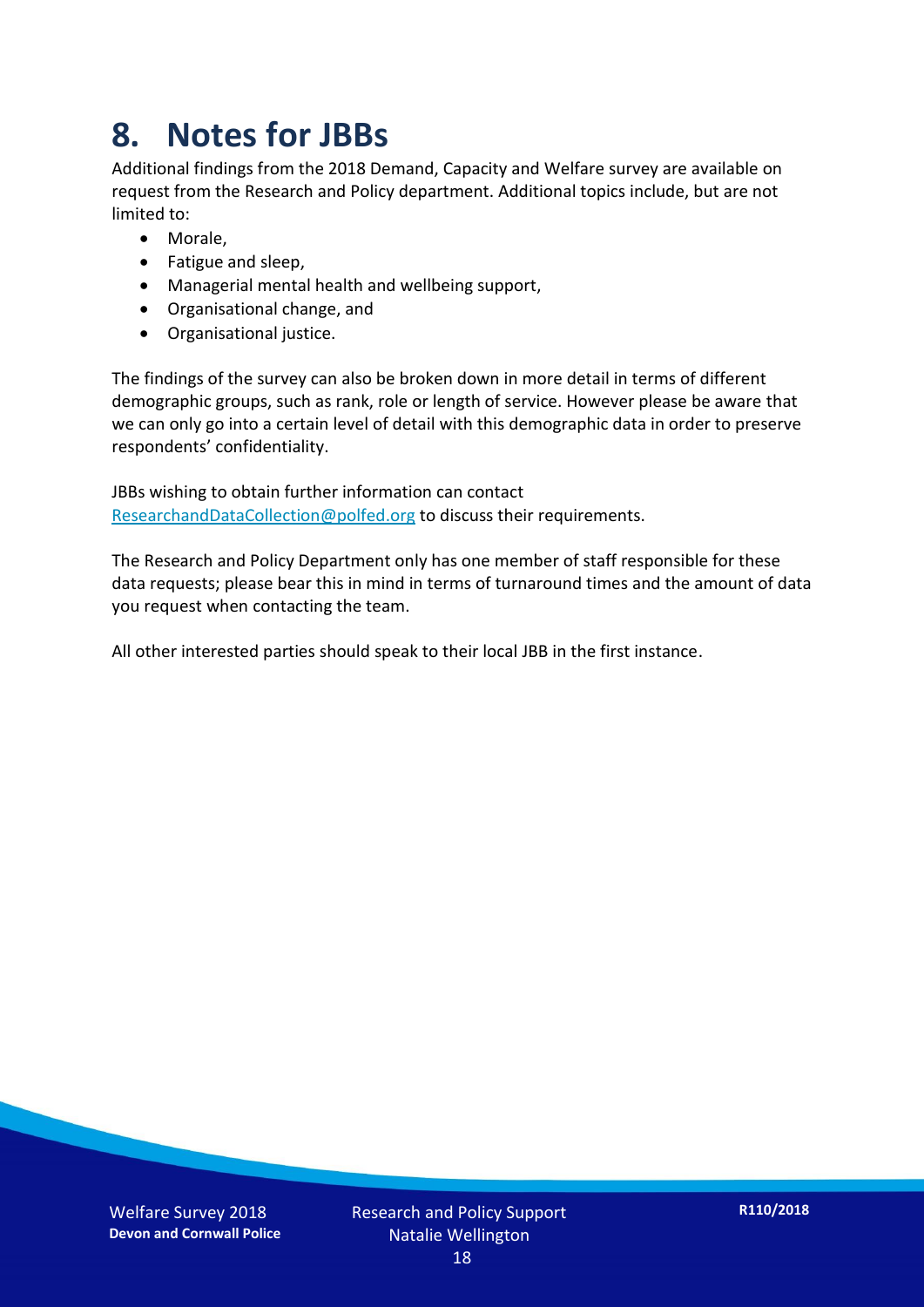### **8. Notes for JBBs**

Additional findings from the 2018 Demand, Capacity and Welfare survey are available on request from the Research and Policy department. Additional topics include, but are not limited to:

- Morale,
- Fatigue and sleep,
- Managerial mental health and wellbeing support,
- Organisational change, and
- Organisational justice.

The findings of the survey can also be broken down in more detail in terms of different demographic groups, such as rank, role or length of service. However please be aware that we can only go into a certain level of detail with this demographic data in order to preserve respondents' confidentiality.

JBBs wishing to obtain further information can contact [ResearchandDataCollection@polfed.org](mailto:ResearchandDataCollection@polfed.org) to discuss their requirements.

The Research and Policy Department only has one member of staff responsible for these data requests; please bear this in mind in terms of turnaround times and the amount of data you request when contacting the team.

All other interested parties should speak to their local JBB in the first instance.